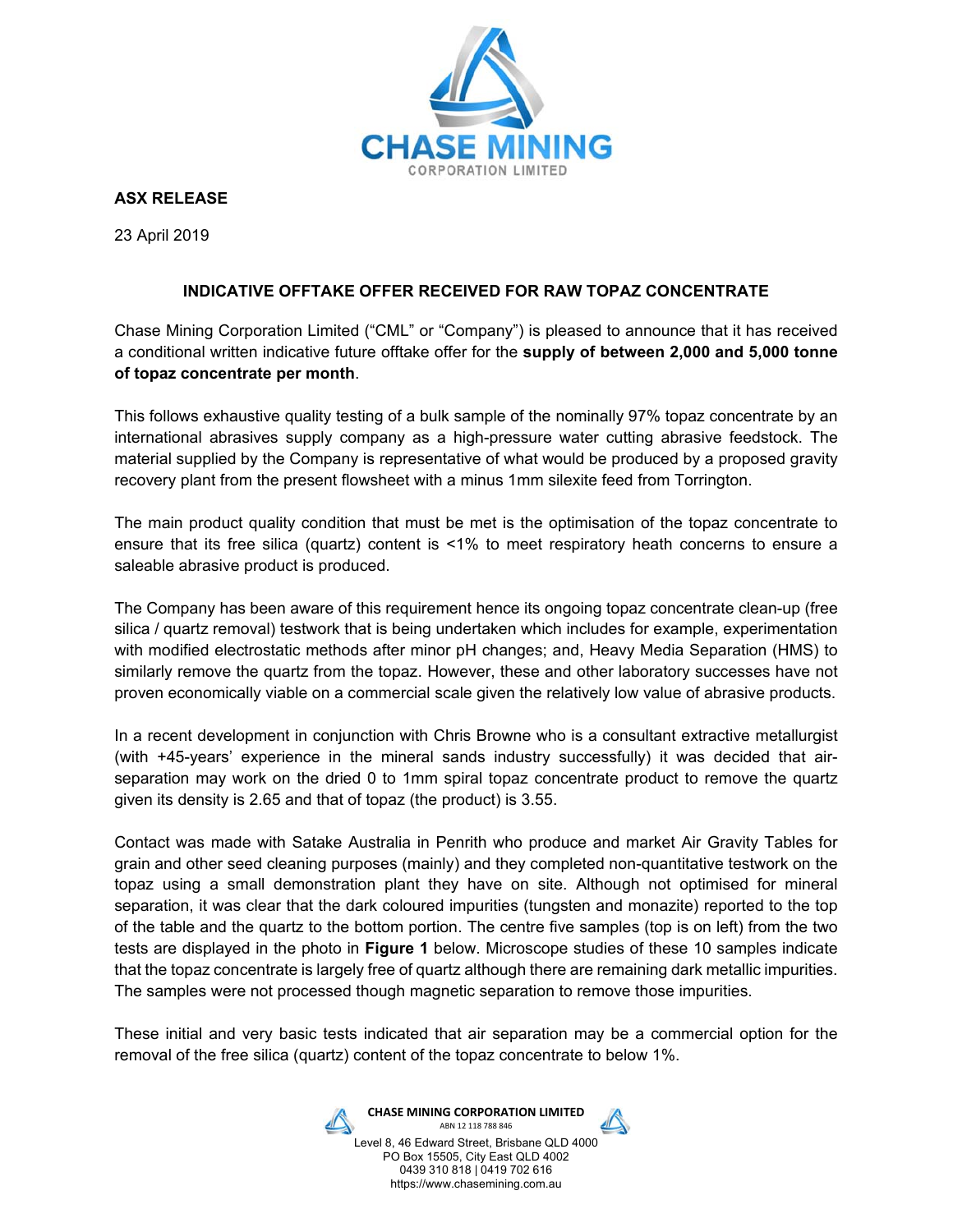

**ASX RELEASE** 

23 April 2019

# **INDICATIVE OFFTAKE OFFER RECEIVED FOR RAW TOPAZ CONCENTRATE**

Chase Mining Corporation Limited ("CML" or "Company") is pleased to announce that it has received a conditional written indicative future offtake offer for the **supply of between 2,000 and 5,000 tonne of topaz concentrate per month**.

This follows exhaustive quality testing of a bulk sample of the nominally 97% topaz concentrate by an international abrasives supply company as a high-pressure water cutting abrasive feedstock. The material supplied by the Company is representative of what would be produced by a proposed gravity recovery plant from the present flowsheet with a minus 1mm silexite feed from Torrington.

The main product quality condition that must be met is the optimisation of the topaz concentrate to ensure that its free silica (quartz) content is <1% to meet respiratory heath concerns to ensure a saleable abrasive product is produced.

The Company has been aware of this requirement hence its ongoing topaz concentrate clean-up (free silica / quartz removal) testwork that is being undertaken which includes for example, experimentation with modified electrostatic methods after minor pH changes; and, Heavy Media Separation (HMS) to similarly remove the quartz from the topaz. However, these and other laboratory successes have not proven economically viable on a commercial scale given the relatively low value of abrasive products.

In a recent development in conjunction with Chris Browne who is a consultant extractive metallurgist (with +45-years' experience in the mineral sands industry successfully) it was decided that airseparation may work on the dried 0 to 1mm spiral topaz concentrate product to remove the quartz given its density is 2.65 and that of topaz (the product) is 3.55.

Contact was made with Satake Australia in Penrith who produce and market Air Gravity Tables for grain and other seed cleaning purposes (mainly) and they completed non-quantitative testwork on the topaz using a small demonstration plant they have on site. Although not optimised for mineral separation, it was clear that the dark coloured impurities (tungsten and monazite) reported to the top of the table and the quartz to the bottom portion. The centre five samples (top is on left) from the two tests are displayed in the photo in **Figure 1** below. Microscope studies of these 10 samples indicate that the topaz concentrate is largely free of quartz although there are remaining dark metallic impurities. The samples were not processed though magnetic separation to remove those impurities.

These initial and very basic tests indicated that air separation may be a commercial option for the removal of the free silica (quartz) content of the topaz concentrate to below 1%.



**CHASE MINING CORPORATION LIMITED**  ABN 12 118 788 846

Level 8, 46 Edward Street, Brisbane QLD 4000 PO Box 15505, City East QLD 4002 0439 310 818 | 0419 702 616 https://www.chasemining.com.au

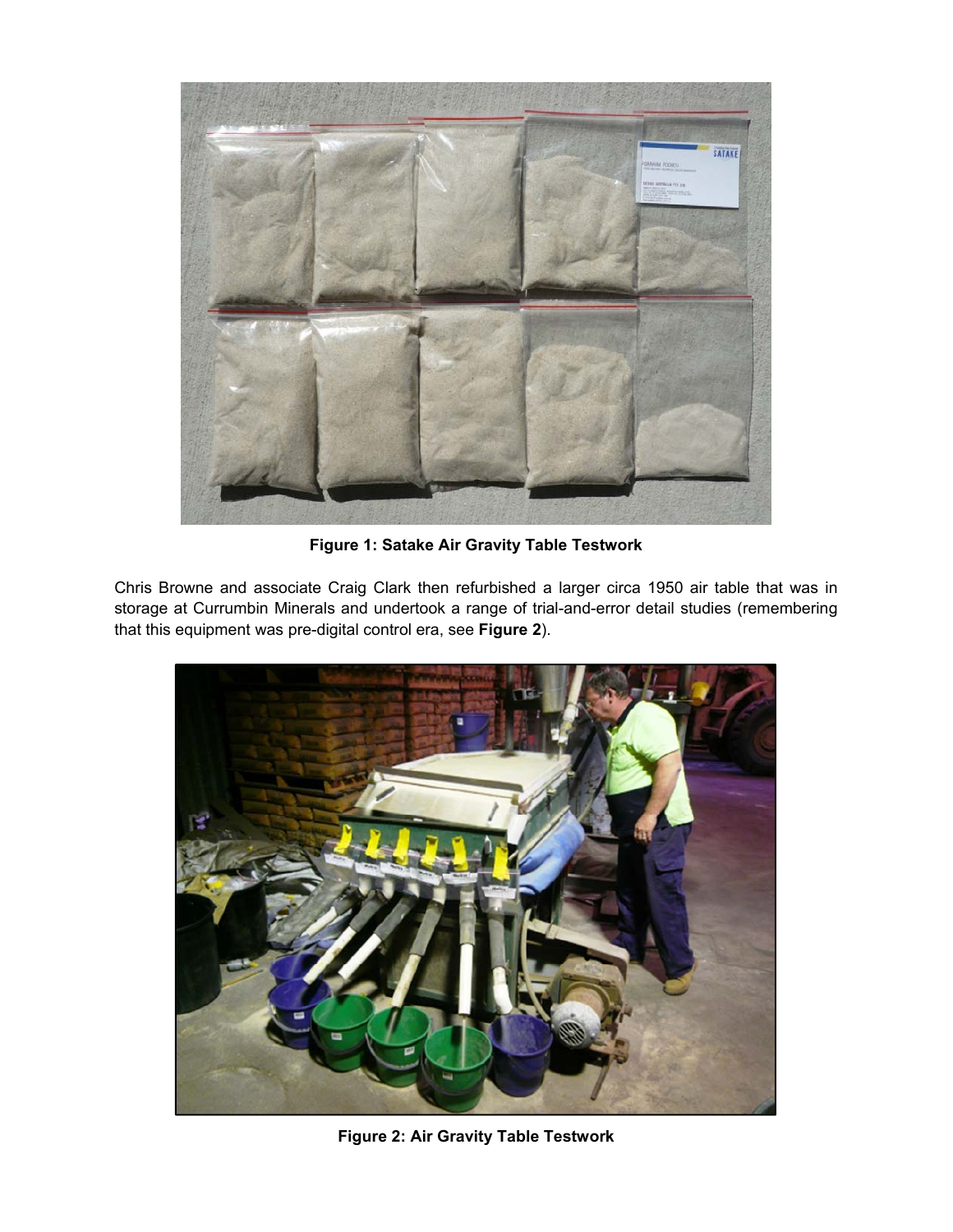

**Figure 1: Satake Air Gravity Table Testwork** 

Chris Browne and associate Craig Clark then refurbished a larger circa 1950 air table that was in storage at Currumbin Minerals and undertook a range of trial-and-error detail studies (remembering that this equipment was pre-digital control era, see **Figure 2**).



**Figure 2: Air Gravity Table Testwork**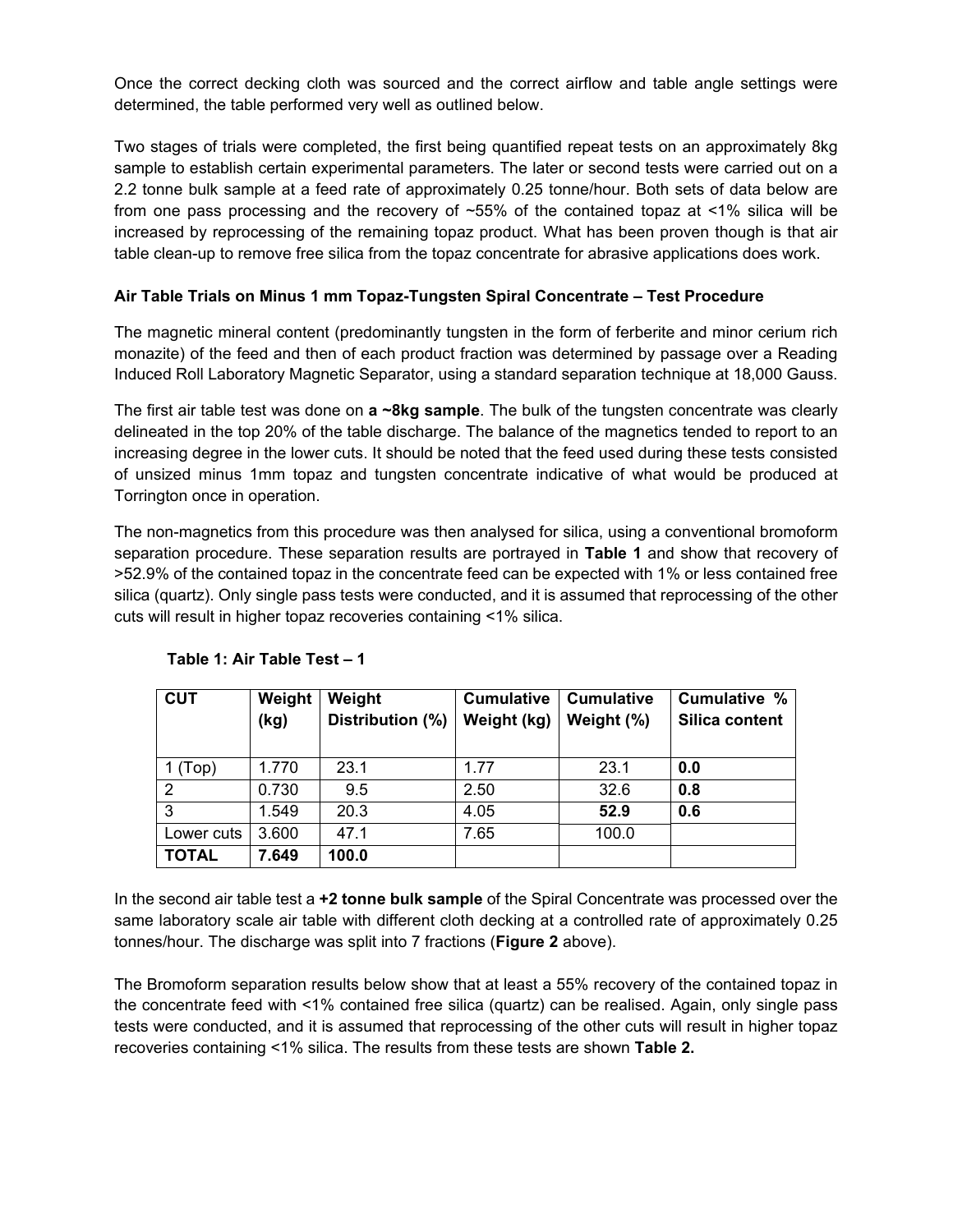Once the correct decking cloth was sourced and the correct airflow and table angle settings were determined, the table performed very well as outlined below.

Two stages of trials were completed, the first being quantified repeat tests on an approximately 8kg sample to establish certain experimental parameters. The later or second tests were carried out on a 2.2 tonne bulk sample at a feed rate of approximately 0.25 tonne/hour. Both sets of data below are from one pass processing and the recovery of ~55% of the contained topaz at <1% silica will be increased by reprocessing of the remaining topaz product. What has been proven though is that air table clean-up to remove free silica from the topaz concentrate for abrasive applications does work.

# **Air Table Trials on Minus 1 mm Topaz-Tungsten Spiral Concentrate – Test Procedure**

The magnetic mineral content (predominantly tungsten in the form of ferberite and minor cerium rich monazite) of the feed and then of each product fraction was determined by passage over a Reading Induced Roll Laboratory Magnetic Separator, using a standard separation technique at 18,000 Gauss.

The first air table test was done on **a ~8kg sample**. The bulk of the tungsten concentrate was clearly delineated in the top 20% of the table discharge. The balance of the magnetics tended to report to an increasing degree in the lower cuts. It should be noted that the feed used during these tests consisted of unsized minus 1mm topaz and tungsten concentrate indicative of what would be produced at Torrington once in operation.

The non-magnetics from this procedure was then analysed for silica, using a conventional bromoform separation procedure. These separation results are portrayed in **Table 1** and show that recovery of >52.9% of the contained topaz in the concentrate feed can be expected with 1% or less contained free silica (quartz). Only single pass tests were conducted, and it is assumed that reprocessing of the other cuts will result in higher topaz recoveries containing <1% silica.

| <b>CUT</b>     | Weight | Weight           | <b>Cumulative</b> | <b>Cumulative</b> | Cumulative %   |
|----------------|--------|------------------|-------------------|-------------------|----------------|
|                | (kg)   | Distribution (%) | Weight (kg)       | Weight (%)        | Silica content |
|                |        |                  |                   |                   |                |
| 1 (Top)        | 1.770  | 23.1             | 1.77              | 23.1              | 0.0            |
| $\overline{2}$ | 0.730  | 9.5              | 2.50              | 32.6              | 0.8            |
| 3              | 1.549  | 20.3             | 4.05              | 52.9              | 0.6            |
| Lower cuts     | 3.600  | 47.1             | 7.65              | 100.0             |                |
| <b>TOTAL</b>   | 7.649  | 100.0            |                   |                   |                |

#### **Table 1: Air Table Test – 1**

In the second air table test a **+2 tonne bulk sample** of the Spiral Concentrate was processed over the same laboratory scale air table with different cloth decking at a controlled rate of approximately 0.25 tonnes/hour. The discharge was split into 7 fractions (**Figure 2** above).

The Bromoform separation results below show that at least a 55% recovery of the contained topaz in the concentrate feed with <1% contained free silica (quartz) can be realised. Again, only single pass tests were conducted, and it is assumed that reprocessing of the other cuts will result in higher topaz recoveries containing <1% silica. The results from these tests are shown **Table 2.**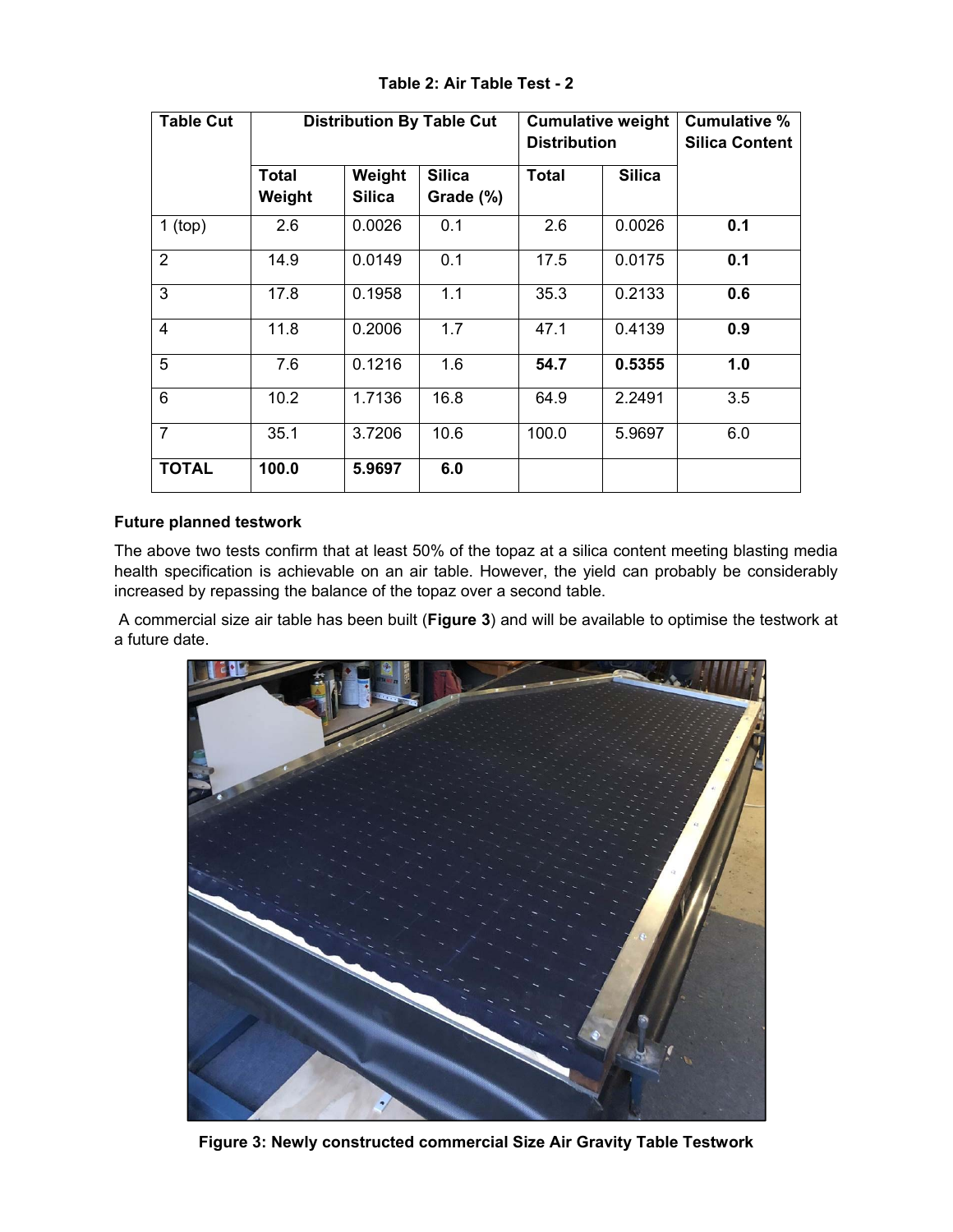| <b>Table Cut</b> | <b>Distribution By Table Cut</b> |                         |                            | <b>Cumulative weight</b><br><b>Distribution</b> |               | <b>Cumulative %</b><br><b>Silica Content</b> |
|------------------|----------------------------------|-------------------------|----------------------------|-------------------------------------------------|---------------|----------------------------------------------|
|                  | <b>Total</b><br>Weight           | Weight<br><b>Silica</b> | <b>Silica</b><br>Grade (%) | Total                                           | <b>Silica</b> |                                              |
| $1$ (top)        | 2.6                              | 0.0026                  | 0.1                        | 2.6                                             | 0.0026        | 0.1                                          |
| 2                | 14.9                             | 0.0149                  | 0.1                        | 17.5                                            | 0.0175        | 0.1                                          |
| 3                | 17.8                             | 0.1958                  | 1.1                        | 35.3                                            | 0.2133        | 0.6                                          |
| $\overline{4}$   | 11.8                             | 0.2006                  | 1.7                        | 47.1                                            | 0.4139        | 0.9                                          |
| 5                | 7.6                              | 0.1216                  | 1.6                        | 54.7                                            | 0.5355        | 1.0                                          |
| 6                | 10.2                             | 1.7136                  | 16.8                       | 64.9                                            | 2.2491        | 3.5                                          |
| $\overline{7}$   | 35.1                             | 3.7206                  | 10.6                       | 100.0                                           | 5.9697        | 6.0                                          |
| <b>TOTAL</b>     | 100.0                            | 5.9697                  | 6.0                        |                                                 |               |                                              |

**Table 2: Air Table Test - 2** 

#### **Future planned testwork**

The above two tests confirm that at least 50% of the topaz at a silica content meeting blasting media health specification is achievable on an air table. However, the yield can probably be considerably increased by repassing the balance of the topaz over a second table.

 A commercial size air table has been built (**Figure 3**) and will be available to optimise the testwork at a future date.



**Figure 3: Newly constructed commercial Size Air Gravity Table Testwork**